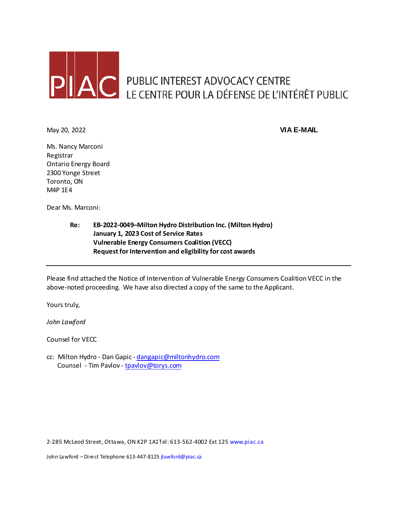

May 20, 2022 **VIA E-MAIL**

Ms. Nancy Marconi Registrar Ontario Energy Board 2300 Yonge Street Toronto, ON M4P 1E4

Dear Ms. Marconi:

**Re: EB-2022-0049–Milton Hydro Distribution Inc. (Milton Hydro) January 1, 2023 Cost of Service Rates Vulnerable Energy Consumers Coalition (VECC) Request for Intervention and eligibility for cost awards**

Please find attached the Notice of Intervention of Vulnerable Energy Consumers Coalition VECC in the above-noted proceeding. We have also directed a copy of the same to the Applicant.

Yours truly,

*John Lawford*

Counsel for VECC

cc: Milton Hydro - Dan Gapic - [dangapic@miltonhydro.com](mailto:dangapic@miltonhydro.com) Counsel - Tim Pavlov - [tpavlov@torys.com](mailto:tpavlov@torys.com)

2-285 McLeod Street, Ottawa, ON K2P 1A1Tel: 613-562-4002 Ext 125 www.piac.ca

John Lawford - Direct Telephone 613-447-8125 jlawford@piac.ca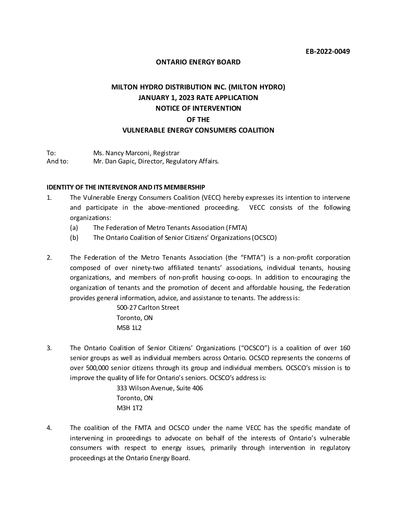#### **ONTARIO ENERGY BOARD**

# **MILTON HYDRO DISTRIBUTION INC. (MILTON HYDRO) JANUARY 1, 2023 RATE APPLICATION NOTICE OF INTERVENTION OF THE VULNERABLE ENERGY CONSUMERS COALITION**

To: Ms. Nancy Marconi, Registrar And to: Mr. Dan Gapic, Director, Regulatory Affairs.

#### **IDENTITY OF THE INTERVENOR AND ITS MEMBERSHIP**

- 1. The Vulnerable Energy Consumers Coalition (VECC) hereby expresses its intention to intervene and participate in the above-mentioned proceeding. VECC consists of the following organizations:
	- (a) The Federation of Metro Tenants Association (FMTA)
	- (b) The Ontario Coalition of Senior Citizens' Organizations (OCSCO)
- 2. The Federation of the Metro Tenants Association (the "FMTA") is a non-profit corporation composed of over ninety-two affiliated tenants' associations, individual tenants, housing organizations, and members of non-profit housing co-oops. In addition to encouraging the organization of tenants and the promotion of decent and affordable housing, the Federation provides general information, advice, and assistance to tenants. The address is:

500-27 Carlton Street Toronto, ON M5B 1L2

3. The Ontario Coalition of Senior Citizens' Organizations ("OCSCO") is a coalition of over 160 senior groups as well as individual members across Ontario. OCSCO represents the concerns of over 500,000 senior citizens through its group and individual members. OCSCO's mission is to improve the quality of life for Ontario's seniors. OCSCO's address is:

> 333 Wilson Avenue, Suite 406 Toronto, ON M3H 1T2

4. The coalition of the FMTA and OCSCO under the name VECC has the specific mandate of intervening in proceedings to advocate on behalf of the interests of Ontario's vulnerable consumers with respect to energy issues, primarily through intervention in regulatory proceedings at the Ontario Energy Board.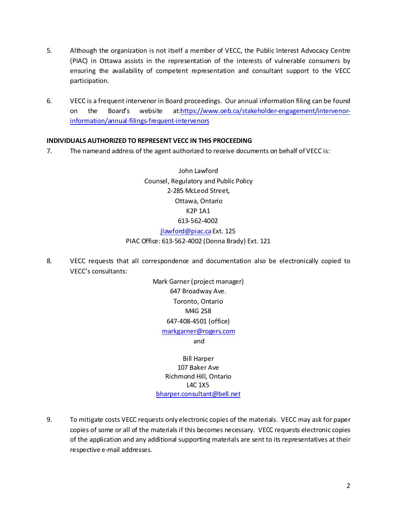- 5. Although the organization is not itself a member of VECC, the Public Interest Advocacy Centre (PIAC) in Ottawa assists in the representation of the interests of vulnerable consumers by ensuring the availability of competent representation and consultant support to the VECC participation.
- 6. VECC is a frequent intervenor in Board proceedings. Our annual information filing can be found on the Board's website a[t:https://www.oeb.ca/stakeholder-engagement/intervenor](https://www.oeb.ca/stakeholder-engagement/intervenor-information/annual-filings-frequent-intervenors)[information/annual-filings-frequent-intervenors](https://www.oeb.ca/stakeholder-engagement/intervenor-information/annual-filings-frequent-intervenors)

## **INDIVIDUALS AUTHORIZED TO REPRESENT VECC IN THIS PROCEEDING**

7. The nameand address of the agent authorized to receive documents on behalf of VECC is:

John Lawford Counsel, Regulatory and Public Policy 2-285 McLeod Street, Ottawa, Ontario K2P 1A1 613-562-4002 jlawford@piac.ca Ext. 125 PIAC Office: 613-562-4002 (Donna Brady) Ext. 121

8. VECC requests that all correspondence and documentation also be electronically copied to VECC's consultants:

> Mark Garner (project manager) 647 Broadway Ave. Toronto, Ontario M4G 2S8 647-408-4501 (office) and [markgarner@rogers.com](mailto:markgarner@rogers.com)

Bill Harper 107 Baker Ave Richmond Hill, Ontario L4C 1X5 [bharper.consultant@bell.net](mailto:bharper.consultant@bell.net)

9. To mitigate costs VECC requests only electronic copies of the materials. VECC may ask for paper copies of some or all of the materials if this becomes necessary. VECC requests electronic copies of the application and any additional supporting materials are sent to its representatives at their respective e-mail addresses.